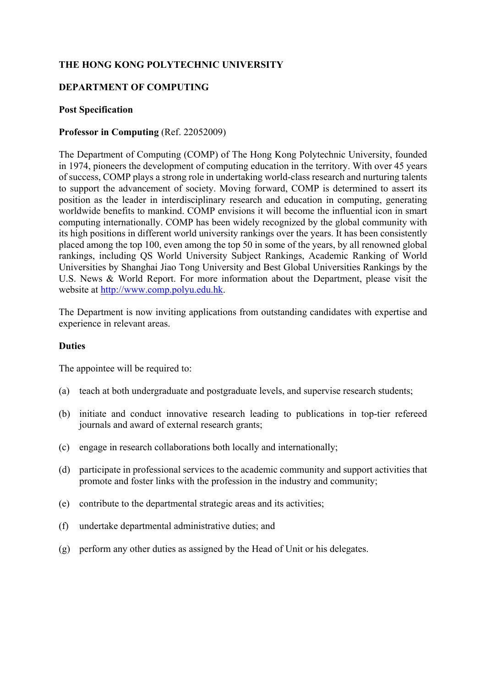# **THE HONG KONG POLYTECHNIC UNIVERSITY**

### **DEPARTMENT OF COMPUTING**

#### **Post Specification**

### **Professor in Computing** (Ref. 22052009)

The Department of Computing (COMP) of The Hong Kong Polytechnic University, founded in 1974, pioneers the development of computing education in the territory. With over 45 years of success, COMP plays a strong role in undertaking world-class research and nurturing talents to support the advancement of society. Moving forward, COMP is determined to assert its position as the leader in interdisciplinary research and education in computing, generating worldwide benefits to mankind. COMP envisions it will become the influential icon in smart computing internationally. COMP has been widely recognized by the global community with its high positions in different world university rankings over the years. It has been consistently placed among the top 100, even among the top 50 in some of the years, by all renowned global rankings, including QS World University Subject Rankings, Academic Ranking of World Universities by Shanghai Jiao Tong University and Best Global Universities Rankings by the U.S. News & World Report. For more information about the Department, please visit the website at http://www.comp.polyu.edu.hk.

The Department is now inviting applications from outstanding candidates with expertise and experience in relevant areas.

#### **Duties**

The appointee will be required to:

- (a) teach at both undergraduate and postgraduate levels, and supervise research students;
- (b) initiate and conduct innovative research leading to publications in top-tier refereed journals and award of external research grants;
- (c) engage in research collaborations both locally and internationally;
- (d) participate in professional services to the academic community and support activities that promote and foster links with the profession in the industry and community;
- (e) contribute to the departmental strategic areas and its activities;
- (f) undertake departmental administrative duties; and
- (g) perform any other duties as assigned by the Head of Unit or his delegates.